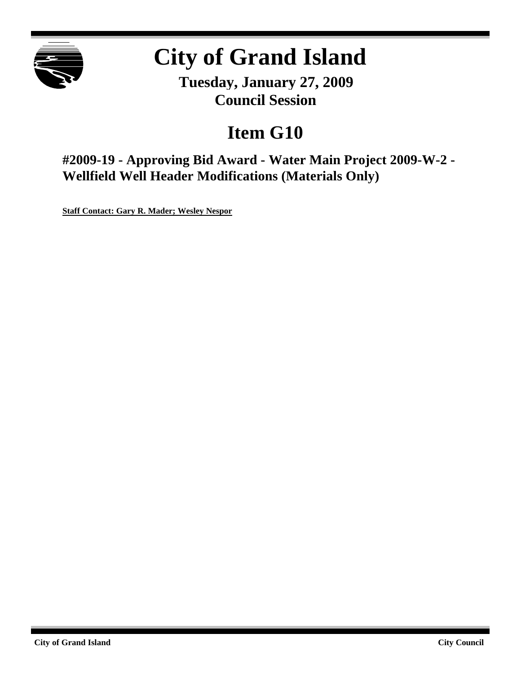

# **City of Grand Island**

**Tuesday, January 27, 2009 Council Session**

# **Item G10**

**#2009-19 - Approving Bid Award - Water Main Project 2009-W-2 - Wellfield Well Header Modifications (Materials Only)**

**Staff Contact: Gary R. Mader; Wesley Nespor**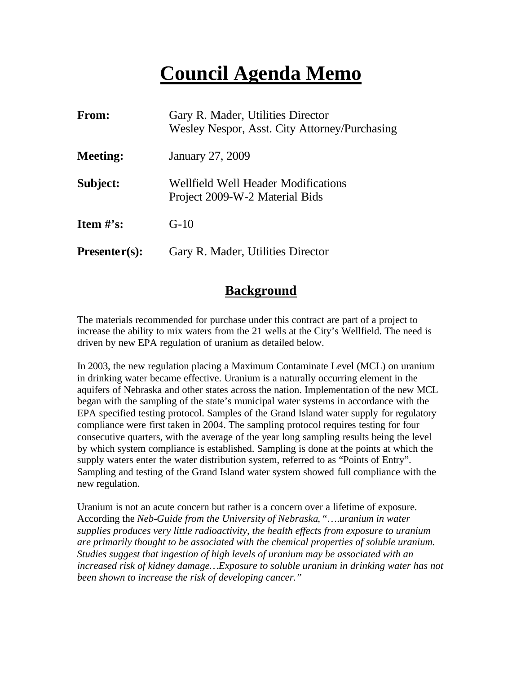# **Council Agenda Memo**

| <b>From:</b>    | Gary R. Mader, Utilities Director<br>Wesley Nespor, Asst. City Attorney/Purchasing |
|-----------------|------------------------------------------------------------------------------------|
| <b>Meeting:</b> | January 27, 2009                                                                   |
| Subject:        | <b>Wellfield Well Header Modifications</b><br>Project 2009-W-2 Material Bids       |
| Item $#$ 's:    | $G-10$                                                                             |
| $Presenter(s):$ | Gary R. Mader, Utilities Director                                                  |

# **Background**

The materials recommended for purchase under this contract are part of a project to increase the ability to mix waters from the 21 wells at the City's Wellfield. The need is driven by new EPA regulation of uranium as detailed below.

In 2003, the new regulation placing a Maximum Contaminate Level (MCL) on uranium in drinking water became effective. Uranium is a naturally occurring element in the aquifers of Nebraska and other states across the nation. Implementation of the new MCL began with the sampling of the state's municipal water systems in accordance with the EPA specified testing protocol. Samples of the Grand Island water supply for regulatory compliance were first taken in 2004. The sampling protocol requires testing for four consecutive quarters, with the average of the year long sampling results being the level by which system compliance is established. Sampling is done at the points at which the supply waters enter the water distribution system, referred to as "Points of Entry". Sampling and testing of the Grand Island water system showed full compliance with the new regulation.

Uranium is not an acute concern but rather is a concern over a lifetime of exposure. According the *Neb-Guide from the University of Nebraska*, "….*uranium in water supplies produces very little radioactivity, the health effects from exposure to uranium are primarily thought to be associated with the chemical properties of soluble uranium. Studies suggest that ingestion of high levels of uranium may be associated with an increased risk of kidney damage…Exposure to soluble uranium in drinking water has not been shown to increase the risk of developing cancer."*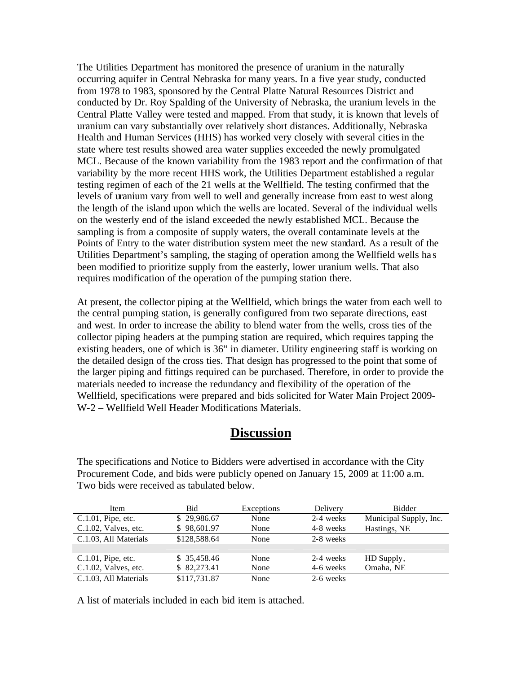The Utilities Department has monitored the presence of uranium in the naturally occurring aquifer in Central Nebraska for many years. In a five year study, conducted from 1978 to 1983, sponsored by the Central Platte Natural Resources District and conducted by Dr. Roy Spalding of the University of Nebraska, the uranium levels in the Central Platte Valley were tested and mapped. From that study, it is known that levels of uranium can vary substantially over relatively short distances. Additionally, Nebraska Health and Human Services (HHS) has worked very closely with several cities in the state where test results showed area water supplies exceeded the newly promulgated MCL. Because of the known variability from the 1983 report and the confirmation of that variability by the more recent HHS work, the Utilities Department established a regular testing regimen of each of the 21 wells at the Wellfield. The testing confirmed that the levels of uranium vary from well to well and generally increase from east to west along the length of the island upon which the wells are located. Several of the individual wells on the westerly end of the island exceeded the newly established MCL. Because the sampling is from a composite of supply waters, the overall contaminate levels at the Points of Entry to the water distribution system meet the new standard. As a result of the Utilities Department's sampling, the staging of operation among the Wellfield wells ha s been modified to prioritize supply from the easterly, lower uranium wells. That also requires modification of the operation of the pumping station there.

At present, the collector piping at the Wellfield, which brings the water from each well to the central pumping station, is generally configured from two separate directions, east and west. In order to increase the ability to blend water from the wells, cross ties of the collector piping headers at the pumping station are required, which requires tapping the existing headers, one of which is 36" in diameter. Utility engineering staff is working on the detailed design of the cross ties. That design has progressed to the point that some of the larger piping and fittings required can be purchased. Therefore, in order to provide the materials needed to increase the redundancy and flexibility of the operation of the Wellfield, specifications were prepared and bids solicited for Water Main Project 2009- W-2 – Wellfield Well Header Modifications Materials.

### **Discussion**

The specifications and Notice to Bidders were advertised in accordance with the City Procurement Code, and bids were publicly opened on January 15, 2009 at 11:00 a.m. Two bids were received as tabulated below.

| Item                    | <b>Bid</b>   | Exceptions | Delivery  | <b>Bidder</b>          |
|-------------------------|--------------|------------|-----------|------------------------|
| $C.1.01$ , Pipe, etc.   | \$29,986.67  | None       | 2-4 weeks | Municipal Supply, Inc. |
| $C.1.02$ , Valves, etc. | \$98,601.97  | None       | 4-8 weeks | Hastings, NE           |
| C.1.03, All Materials   | \$128,588.64 | None       | 2-8 weeks |                        |
|                         |              |            |           |                        |
| $C.1.01$ , Pipe, etc.   | \$35,458.46  | None       | 2-4 weeks | HD Supply,             |
| C.1.02, Valves, etc.    | \$82,273.41  | None       | 4-6 weeks | Omaha, NE              |
| C.1.03, All Materials   | \$117,731.87 | None       | 2-6 weeks |                        |

A list of materials included in each bid item is attached.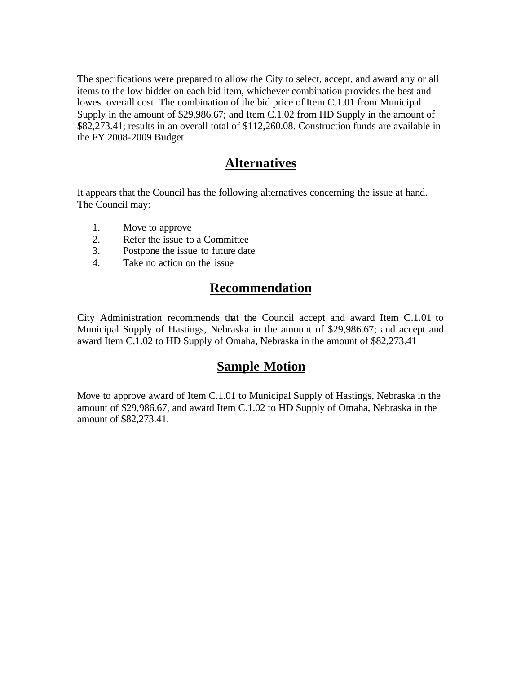The specifications were prepared to allow the City to select, accept, and award any or all items to the low bidder on each bid item, whichever combination provides the best and lowest overall cost. The combination of the bid price of Item C.1.01 from Municipal Supply in the amount of \$29,986.67; and Item C.1.02 from HD Supply in the amount of \$82,273.41; results in an overall total of \$112,260.08. Construction funds are available in the FY 2008-2009 Budget.

#### **Alternatives**

It appears that the Council has the following alternatives concerning the issue at hand. The Council may:

- 1. Move to approve
- 2. Refer the issue to a Committee
- 3. Postpone the issue to future date
- 4. Take no action on the issue

# **Recommendation**

City Administration recommends that the Council accept and award Item C.1.01 to Municipal Supply of Hastings, Nebraska in the amount of \$29,986.67; and accept and award Item C.1.02 to HD Supply of Omaha, Nebraska in the amount of \$82,273.41

### **Sample Motion**

Move to approve award of Item C.1.01 to Municipal Supply of Hastings, Nebraska in the amount of \$29,986.67, and award Item C.1.02 to HD Supply of Omaha, Nebraska in the amount of \$82,273.41.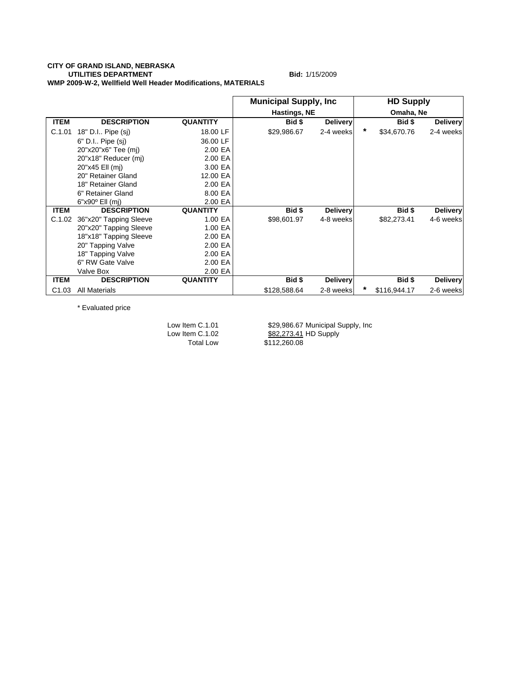#### **CITY OF GRAND ISLAND, NEBRASKA UTILITIES DEPARTMENT** Bid: 1/15/2009 **WMP 2009-W-2, Wellfield Well Header Modifications, MATERIALS**

|                   |                        |                 | <b>Municipal Supply, Inc.</b> |                 |   | <b>HD Supply</b> |                 |
|-------------------|------------------------|-----------------|-------------------------------|-----------------|---|------------------|-----------------|
|                   |                        |                 | Hastings, NE                  |                 |   | Omaha, Ne        |                 |
| <b>ITEM</b>       | <b>DESCRIPTION</b>     | <b>QUANTITY</b> | Bid \$                        | <b>Delivery</b> |   | Bid \$           | <b>Delivery</b> |
| C.1.01            | 18" D.I Pipe (sj)      | 18.00 LF        | \$29,986.67                   | 2-4 weeks       | * | \$34,670.76      | 2-4 weeks       |
|                   | 6" D.I Pipe (sj)       | 36.00 LF        |                               |                 |   |                  |                 |
|                   | 20"x20"x6" Tee (mj)    | 2.00 EA         |                               |                 |   |                  |                 |
|                   | 20"x18" Reducer (mj)   | 2.00 EA         |                               |                 |   |                  |                 |
|                   | 20"x45 Ell (mj)        | 3.00 EA         |                               |                 |   |                  |                 |
|                   | 20" Retainer Gland     | 12.00 EA        |                               |                 |   |                  |                 |
|                   | 18" Retainer Gland     | 2.00 EA         |                               |                 |   |                  |                 |
|                   | 6" Retainer Gland      | 8.00 EA         |                               |                 |   |                  |                 |
|                   | $6"x90°$ Ell (mj)      | 2.00 EA         |                               |                 |   |                  |                 |
| <b>ITEM</b>       | <b>DESCRIPTION</b>     | <b>QUANTITY</b> | Bid \$                        | <b>Delivery</b> |   | Bid \$           | <b>Delivery</b> |
| C.1.02            | 36"x20" Tapping Sleeve | 1.00 EA         | \$98,601.97                   | 4-8 weeks       |   | \$82,273.41      | 4-6 weeks       |
|                   | 20"x20" Tapping Sleeve | 1.00 EA         |                               |                 |   |                  |                 |
|                   | 18"x18" Tapping Sleeve | 2.00 EA         |                               |                 |   |                  |                 |
|                   | 20" Tapping Valve      | 2.00 EA         |                               |                 |   |                  |                 |
|                   | 18" Tapping Valve      | 2.00 EA         |                               |                 |   |                  |                 |
|                   | 6" RW Gate Valve       | 2.00 EA         |                               |                 |   |                  |                 |
|                   | Valve Box              | 2.00 EA         |                               |                 |   |                  |                 |
| <b>ITEM</b>       | <b>DESCRIPTION</b>     | <b>QUANTITY</b> | Bid \$                        | <b>Delivery</b> |   | Bid \$           | <b>Delivery</b> |
| C <sub>1.03</sub> | <b>All Materials</b>   |                 | \$128,588.64                  | 2-8 weeks       | * | \$116,944.17     | 2-6 weeks       |

\* Evaluated price

Low Item C.1.01 \$29,986.67 Municipal Supply, Inc<br>
Low Item C.1.02 \$82,273.41 HD Supply Low Item C.1.02  $$82,273.41$  HD Supply Total Low \$112,260.08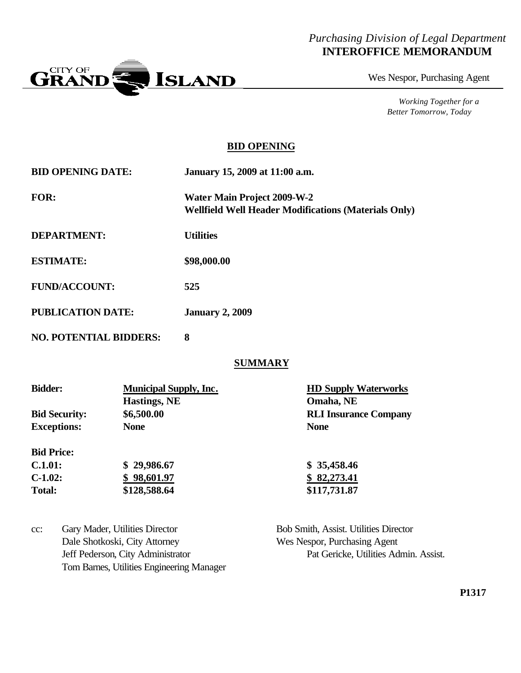### *Purchasing Division of Legal Department* **INTEROFFICE MEMORANDUM**



Wes Nespor, Purchasing Agent

*Working Together for a Better Tomorrow, Today*

#### **BID OPENING**

| <b>BID OPENING DATE:</b>      | January 15, 2009 at 11:00 a.m.                                                                    |
|-------------------------------|---------------------------------------------------------------------------------------------------|
| <b>FOR:</b>                   | <b>Water Main Project 2009-W-2</b><br><b>Wellfield Well Header Modifications (Materials Only)</b> |
| <b>DEPARTMENT:</b>            | <b>Utilities</b>                                                                                  |
| <b>ESTIMATE:</b>              | \$98,000.00                                                                                       |
| <b>FUND/ACCOUNT:</b>          | 525                                                                                               |
| <b>PUBLICATION DATE:</b>      | <b>January 2, 2009</b>                                                                            |
| <b>NO. POTENTIAL BIDDERS:</b> | 8                                                                                                 |

#### **SUMMARY**

| <b>Bidder:</b>       | <b>Municipal Supply, Inc.</b> | <b>HD Supply Waterworks</b>  |
|----------------------|-------------------------------|------------------------------|
|                      | <b>Hastings, NE</b>           | Omaha, NE                    |
| <b>Bid Security:</b> | \$6,500.00                    | <b>RLI Insurance Company</b> |
| <b>Exceptions:</b>   | <b>None</b>                   | <b>None</b>                  |
| <b>Bid Price:</b>    |                               |                              |
| C.1.01:              | \$29,986.67                   | \$35,458.46                  |
| $C-1.02:$            | \$98,601.97                   | 82,273.41                    |
| <b>Total:</b>        | \$128,588.64                  | \$117,731.87                 |

| $cc$ : | Gary Mader, Utilities Director            | Bob Smith, Assist. Utilities Director |
|--------|-------------------------------------------|---------------------------------------|
|        | Dale Shotkoski, City Attorney             | Wes Nespor, Purchasing Agent          |
|        | Jeff Pederson, City Administrator         | Pat Gericke, Utilities Admin. Assist. |
|        | Tom Barnes, Utilities Engineering Manager |                                       |